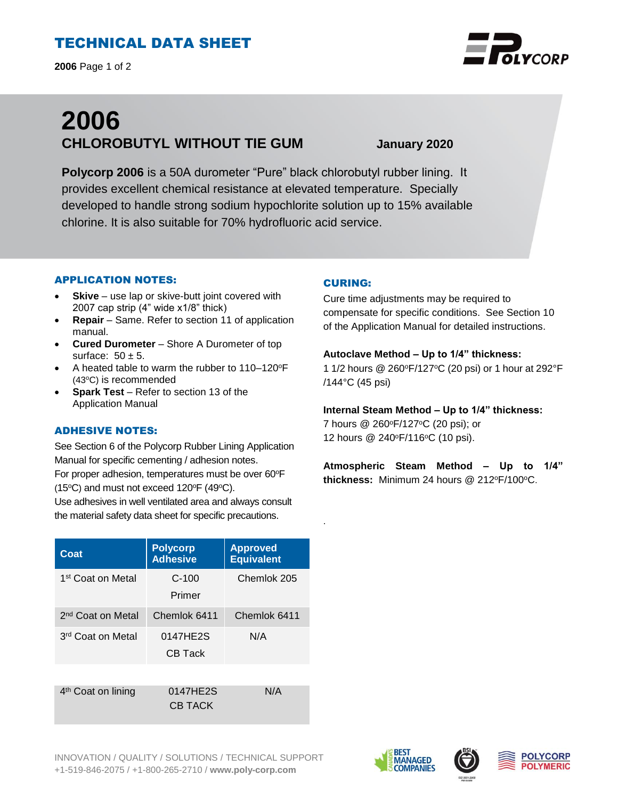# TECHNICAL DATA SHEET

**2006** Page 1 of 2

# **2006 CHLOROBUTYL WITHOUT TIE GUM January 2020**

**Polycorp 2006** is a 50A durometer "Pure" black chlorobutyl rubber lining. It provides excellent chemical resistance at elevated temperature. Specially developed to handle strong sodium hypochlorite solution up to 15% available chlorine. It is also suitable for 70% hydrofluoric acid service.

## APPLICATION NOTES:

- **Skive** use lap or skive-butt joint covered with 2007 cap strip (4" wide x1/8" thick)
- **Repair**  Same. Refer to section 11 of application manual.
- **Cured Durometer**  Shore A Durometer of top surface:  $50 \pm 5$ .
- A heated table to warm the rubber to  $110-120^{\circ}F$ (43<sup>o</sup>C) is recommended
- **Spark Test**  Refer to section 13 of the Application Manual

#### ADHESIVE NOTES:

See Section 6 of the Polycorp Rubber Lining Application Manual for specific cementing / adhesion notes. For proper adhesion, temperatures must be over 60°F (15 $\textdegree$ C) and must not exceed 120 $\textdegree$ F (49 $\textdegree$ C).

Use adhesives in well ventilated area and always consult the material safety data sheet for specific precautions.

#### **Coat Polycorp Adhesive Approved Equivalent** 1<sup>st</sup> Coat on Metal C-100 Primer Chemlok 205 2 nd Coat on Metal Chemlok 6411 Chemlok 6411 3<sup>rd</sup> Coat on Metal | 0147HE2S CB Tack N/A

4<sup>th</sup> Coat on lining **0147HE2S** CB TACK N/A

# CURING:

.

Cure time adjustments may be required to compensate for specific conditions. See Section 10 of the Application Manual for detailed instructions.

#### **Autoclave Method – Up to 1/4" thickness:**

1 1/2 hours @ 260°F/127°C (20 psi) or 1 hour at 292°F /144°C (45 psi)

# **Internal Steam Method – Up to 1/4" thickness:**

7 hours @ 260°F/127°C (20 psi); or 12 hours @ 240°F/116°C (10 psi).

**Atmospheric Steam Method – Up to 1/4"** thickness: Minimum 24 hours @ 212°F/100°C.